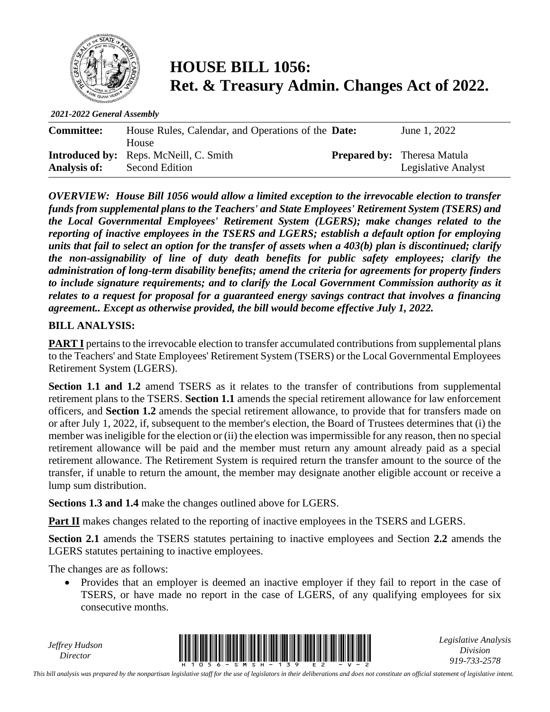

## **HOUSE BILL 1056: Ret. & Treasury Admin. Changes Act of 2022.**

*2021-2022 General Assembly*

| <b>Committee:</b>   | House Rules, Calendar, and Operations of the <b>Date:</b> | June 1, 2022                       |
|---------------------|-----------------------------------------------------------|------------------------------------|
|                     | House                                                     |                                    |
|                     | <b>Introduced by:</b> Reps. McNeill, C. Smith             | <b>Prepared by:</b> Theresa Matula |
| <b>Analysis of:</b> | Second Edition                                            | Legislative Analyst                |

*OVERVIEW: House Bill 1056 would allow a limited exception to the irrevocable election to transfer funds from supplemental plans to the Teachers' and State Employees' Retirement System (TSERS) and the Local Governmental Employees' Retirement System (LGERS); make changes related to the reporting of inactive employees in the TSERS and LGERS; establish a default option for employing units that fail to select an option for the transfer of assets when a 403(b) plan is discontinued; clarify the non-assignability of line of duty death benefits for public safety employees; clarify the administration of long-term disability benefits; amend the criteria for agreements for property finders to include signature requirements; and to clarify the Local Government Commission authority as it relates to a request for proposal for a guaranteed energy savings contract that involves a financing agreement.. Except as otherwise provided, the bill would become effective July 1, 2022.*

## **BILL ANALYSIS:**

**PART I** pertains to the irrevocable election to transfer accumulated contributions from supplemental plans to the Teachers' and State Employees' Retirement System (TSERS) or the Local Governmental Employees Retirement System (LGERS).

**Section 1.1 and 1.2** amend TSERS as it relates to the transfer of contributions from supplemental retirement plans to the TSERS. **Section 1.1** amends the special retirement allowance for law enforcement officers, and **Section 1.2** amends the special retirement allowance, to provide that for transfers made on or after July 1, 2022, if, subsequent to the member's election, the Board of Trustees determines that (i) the member was ineligible for the election or (ii) the election was impermissible for any reason, then no special retirement allowance will be paid and the member must return any amount already paid as a special retirement allowance. The Retirement System is required return the transfer amount to the source of the transfer, if unable to return the amount, the member may designate another eligible account or receive a lump sum distribution.

**Sections 1.3 and 1.4** make the changes outlined above for LGERS.

**Part II** makes changes related to the reporting of inactive employees in the TSERS and LGERS.

**Section 2.1** amends the TSERS statutes pertaining to inactive employees and Section **2.2** amends the LGERS statutes pertaining to inactive employees.

The changes are as follows:

• Provides that an employer is deemed an inactive employer if they fail to report in the case of TSERS, or have made no report in the case of LGERS, of any qualifying employees for six consecutive months.

*Jeffrey Hudson*



*Legislative Analysis Division 919-733-2578*

*This bill analysis was prepared by the nonpartisan legislative staff for the use of legislators in their deliberations and does not constitute an official statement of legislative intent.*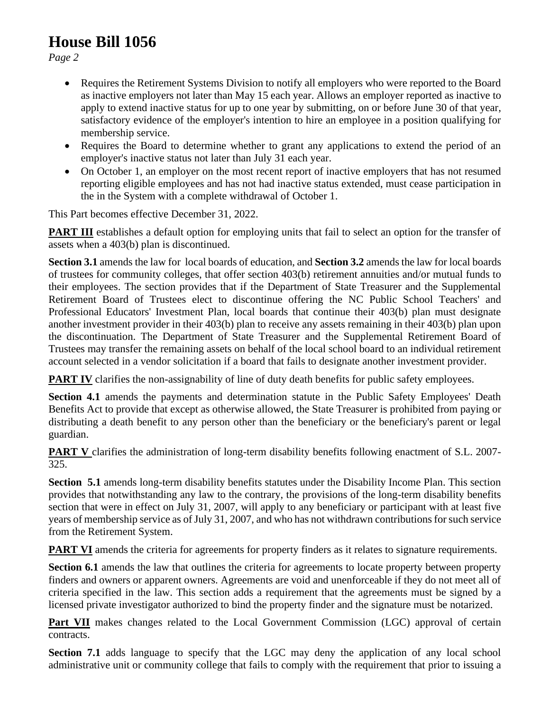## **House Bill 1056**

*Page 2*

- Requires the Retirement Systems Division to notify all employers who were reported to the Board as inactive employers not later than May 15 each year. Allows an employer reported as inactive to apply to extend inactive status for up to one year by submitting, on or before June 30 of that year, satisfactory evidence of the employer's intention to hire an employee in a position qualifying for membership service.
- Requires the Board to determine whether to grant any applications to extend the period of an employer's inactive status not later than July 31 each year.
- On October 1, an employer on the most recent report of inactive employers that has not resumed reporting eligible employees and has not had inactive status extended, must cease participation in the in the System with a complete withdrawal of October 1.

This Part becomes effective December 31, 2022.

**PART III** establishes a default option for employing units that fail to select an option for the transfer of assets when a 403(b) plan is discontinued.

**Section 3.1** amends the law for local boards of education, and **Section 3.2** amends the law for local boards of trustees for community colleges, that offer section 403(b) retirement annuities and/or mutual funds to their employees. The section provides that if the Department of State Treasurer and the Supplemental Retirement Board of Trustees elect to discontinue offering the NC Public School Teachers' and Professional Educators' Investment Plan, local boards that continue their 403(b) plan must designate another investment provider in their 403(b) plan to receive any assets remaining in their 403(b) plan upon the discontinuation. The Department of State Treasurer and the Supplemental Retirement Board of Trustees may transfer the remaining assets on behalf of the local school board to an individual retirement account selected in a vendor solicitation if a board that fails to designate another investment provider.

**PART IV** clarifies the non-assignability of line of duty death benefits for public safety employees.

**Section 4.1** amends the payments and determination statute in the Public Safety Employees' Death Benefits Act to provide that except as otherwise allowed, the State Treasurer is prohibited from paying or distributing a death benefit to any person other than the beneficiary or the beneficiary's parent or legal guardian.

**PART V** clarifies the administration of long-term disability benefits following enactment of S.L. 2007-325.

**Section 5.1** amends long-term disability benefits statutes under the Disability Income Plan. This section provides that notwithstanding any law to the contrary, the provisions of the long-term disability benefits section that were in effect on July 31, 2007, will apply to any beneficiary or participant with at least five years of membership service as of July 31, 2007, and who has not withdrawn contributions for such service from the Retirement System.

**PART VI** amends the criteria for agreements for property finders as it relates to signature requirements.

**Section 6.1** amends the law that outlines the criteria for agreements to locate property between property finders and owners or apparent owners. Agreements are void and unenforceable if they do not meet all of criteria specified in the law. This section adds a requirement that the agreements must be signed by a licensed private investigator authorized to bind the property finder and the signature must be notarized.

Part VII makes changes related to the Local Government Commission (LGC) approval of certain contracts.

**Section 7.1** adds language to specify that the LGC may deny the application of any local school administrative unit or community college that fails to comply with the requirement that prior to issuing a